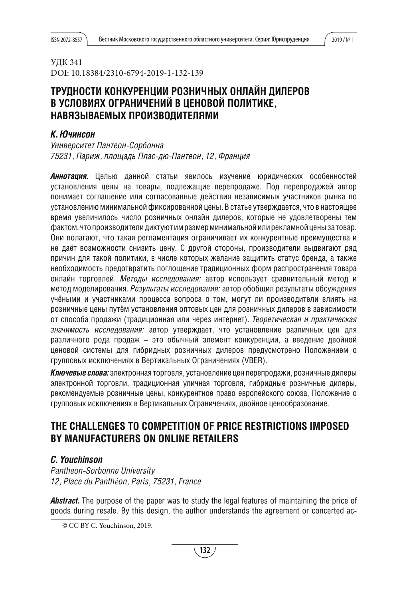# УДК 341 DOI: 10.18384/2310-6794-2019-1-132-139

# ТРУДНОСТИ КОНКУРЕНЦИИ РОЗНИЧНЫХ ОНЛАЙН ДИЛЕРОВ В УСЛОВИЯХ ОГРАНИЧЕНИЙ В ЦЕНОВОЙ ПОЛИТИКЕ. НАВЯЗЫВАЕМЫХ ПРОИЗВОДИТЕЛЯМИ

# *К. Ючинсон*

*Университет Пантеон-Сорбонна 75231, Париж, площадь Плас-дю-Пантеон, 12, Франция*

*Аннотация.* Целью данной статьи явилось изучение юридических особенностей установления цены на товары, подлежащие перепродаже. Под перепродажей автор понимает соглашение или согласованные действия независимых участников рынка по установлениюминимальнойфиксированной цены. В статье утверждается, что в настоящее время увеличилось число розничных онлайн дилеров, которые не удовлетворены тем фактом, чтопроизводителидиктуютимразмерминимальнойилирекламнойценыза товар. Они полагают, что такая регламентация ограничивает их конкурентные преимущества и не даёт возможности снизить цену. С другой стороны, производители выдвигают ряд причин для такой политики, в числе которых желание защитить статус бренда, а также необходимость предотвратить поглощение традиционных форм распространения товара онлайн торговлей. *Методы исследования:* автор использует сравнительный метод и метод моделирования. *Результаты исследования:* автор обобщил результаты обсуждения учёными и участниками процесса вопроса о том, могут ли производители влиять на розничные цены путём установления оптовых цен для розничных дилеров в зависимости от способа продажи (традиционная или через интернет). *Теоретическая и практическая значимость исследования:* автор утверждает, что установление различных цен для различного рода продаж – это обычный элемент конкуренции, а введение двойной ценовой системы для гибридных розничных дилеров предусмотрено Положением о групповых исключениях в Вертикальных Ограничениях (VBER).

*Ключевые слова:* электронная торговля, установление цен перепродажи, розничные дилеры электронной торговли, традиционная уличная торговля, гибридные розничные дилеры, рекомендуемые розничные цены, конкурентное право европейского союза, Положение о групповых исключениях в Вертикальных Ограничениях, двойное ценообразование. **1**

# **THE CHALLENGES TO COMPETITION OF PRICE RESTRICTIONS IMPOSED BY MANUFACTURERS ON ONLINE RETAILERS**

# *C. Youchinson*

*Pantheon-Sorbonne University 12, Place du Panthéon, Paris, 75231, France*

Abstract. The purpose of the paper was to study the legal features of maintaining the price of goods during resale. By this design, the author understands the agreement or concerted ac-

© CC BY C. Youchinson, 2019.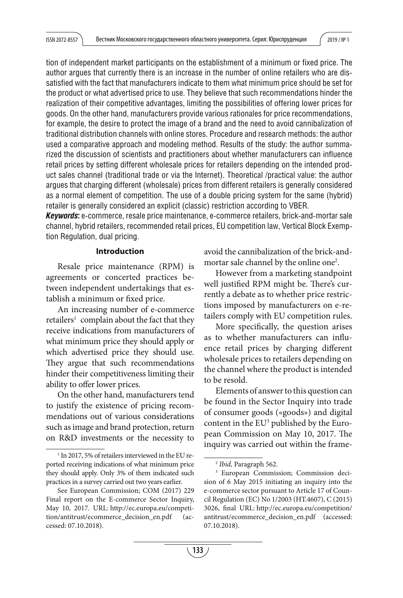tion of independent market participants on the establishment of a minimum or fixed price. The author argues that currently there is an increase in the number of online retailers who are dissatisfied with the fact that manufacturers indicate to them what minimum price should be set for the product or what advertised price to use. They believe that such recommendations hinder the realization of their competitive advantages, limiting the possibilities of offering lower prices for goods. On the other hand, manufacturers provide various rationales for price recommendations, for example, the desire to protect the image of a brand and the need to avoid cannibalization of traditional distribution channels with online stores. Procedure and research methods: the author used a comparative approach and modeling method. Results of the study: the author summarized the discussion of scientists and practitioners about whether manufacturers can influence retail prices by setting different wholesale prices for retailers depending on the intended product sales channel (traditional trade or via the Internet). Theoretical /practical value: the author argues that charging different (wholesale) prices from different retailers is generally considered as a normal element of competition. The use of a double pricing system for the same (hybrid) retailer is generally considered an explicit (classic) restriction according to VBER.

*Keywords***:** e-commerce, resale price maintenance, e-commerce retailers, brick-and-mortar sale channel, hybrid retailers, recommended retail prices, EU competition law, Vertical Block Exemption Regulation, dual pricing.

### **Introduction**

Resale price maintenance (RPM) is agreements or concerted practices between independent undertakings that establish a minimum or fixed price.

An increasing number of e-commerce retailers<sup>1</sup> complain about the fact that they receive indications from manufacturers of what minimum price they should apply or which advertised price they should use. They argue that such recommendations hinder their competitiveness limiting their ability to offer lower prices.

On the other hand, manufacturers tend to justify the existence of pricing recommendations out of various considerations such as image and brand protection, return on R&D investments or the necessity to avoid the cannibalization of the brick-andmortar sale channel by the online one<sup>2</sup>.

However from a marketing standpoint well justified RPM might be. There's currently a debate as to whether price restrictions imposed by manufacturers on e-retailers comply with EU competition rules.

More specifically, the question arises as to whether manufacturers can influence retail prices by charging different wholesale prices to retailers depending on the channel where the product is intended to be resold.

Elements of answer to this question can be found in the Sector Inquiry into trade of consumer goods («goods») and digital content in the  $EU^3$  published by the European Commission on May 10, 2017. The inquiry was carried out within the frame-

<sup>&</sup>lt;sup>1</sup> In 2017, 5% of retailers interviewed in the EU reported receiving indications of what minimum price they should apply. Only 3% of them indicated such practices in a survey carried out two years earlier.

See European Commission; COM (2017) 229 Final report on the E-commerce Sector Inquiry, May 10, 2017. URL: http://ec.europa.eu/competition/antitrust/ecommerce\_decision\_en.pdf (accessed: 07.10.2018).

<sup>2</sup> Ibid, Paragraph 562.

<sup>3</sup> European Commission; Commission decision of 6 May 2015 initiating an inquiry into the e-commerce sector pursuant to Article 17 of Council Regulation (EC) No 1/2003 (HT.4607), C (2015) 3026, final URL: http://ec.europa.eu/competition/ antitrust/ecommerce\_decision\_en.pdf (accessed: 07.10.2018).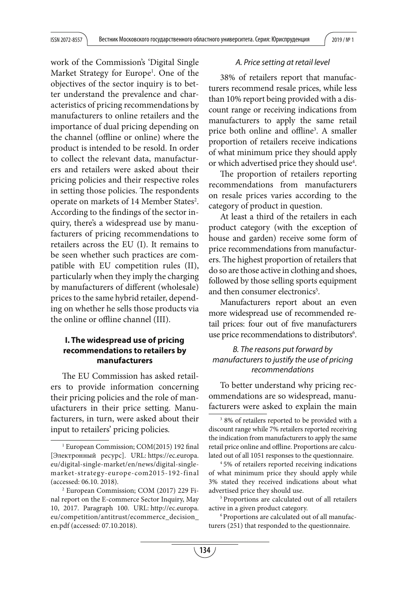work of the Commission's 'Digital Single Market Strategy for Europe1 . One of the objectives of the sector inquiry is to better understand the prevalence and characteristics of pricing recommendations by manufacturers to online retailers and the importance of dual pricing depending on the channel (offline or online) where the product is intended to be resold. In order to collect the relevant data, manufacturers and retailers were asked about their pricing policies and their respective roles in setting those policies. The respondents operate on markets of 14 Member States<sup>2</sup>. According to the findings of the sector inquiry, there's a widespread use by manufacturers of pricing recommendations to retailers across the EU (I). It remains to be seen whether such practices are compatible with EU competition rules (II), particularly when they imply the charging by manufacturers of different (wholesale) prices to the same hybrid retailer, depending on whether he sells those products via the online or offline channel (III).

# **I. The widespread use of pricing recommendations to retailers by manufacturers**

The EU Commission has asked retailers to provide information concerning their pricing policies and the role of manufacturers in their price setting. Manufacturers, in turn, were asked about their input to retailers' pricing policies.

#### *A. Price setting at retail level*

38% of retailers report that manufacturers recommend resale prices, while less than 10% report being provided with a discount range or receiving indications from manufacturers to apply the same retail price both online and offline<sup>3</sup>. A smaller proportion of retailers receive indications of what minimum price they should apply or which advertised price they should use<sup>4</sup>.

The proportion of retailers reporting recommendations from manufacturers on resale prices varies according to the category of product in question.

At least a third of the retailers in each product category (with the exception of house and garden) receive some form of price recommendations from manufacturers. The highest proportion of retailers that do so are those active in clothing and shoes, followed by those selling sports equipment and then consumer electronics<sup>5</sup>.

Manufacturers report about an even more widespread use of recommended retail prices: four out of five manufacturers use price recommendations to distributors<sup>6</sup>.

# *B. The reasons put forward by manufacturers to justify the use of pricing recommendations*

To better understand why pricing recommendations are so widespread, manufacturers were asked to explain the main

<sup>&</sup>lt;sup>1</sup> European Commission; COM(2015) 192 final [Электронный ресурс]. URL: https://ec.europa. eu/digital-single-market/en/news/digital-singlemarket-strategy-europe-com2015-192-final (accessed: 06.10. 2018).

<sup>2</sup> European Commission; COM (2017) 229 Final report on the E-commerce Sector Inquiry, May 10, 2017. Paragraph 100. URL: http://ec.europa. eu/competition/antitrust/ecommerce\_decision\_ en.pdf (accessed: 07.10.2018).

<sup>3</sup> 8% of retailers reported to be provided with a discount range while 7% retailers reported receiving the indication from manufacturers to apply the same retail price online and offline. Proportions are calculated out of all 1051 responses to the questionnaire. 4 5% of retailers reported receiving indications

of what minimum price they should apply while 3% stated they received indications about what advertised price they should use. 5 Proportions are calculated out of all retailers

active in a given product category.

<sup>6</sup> Proportions are calculated out of all manufacturers (251) that responded to the questionnaire.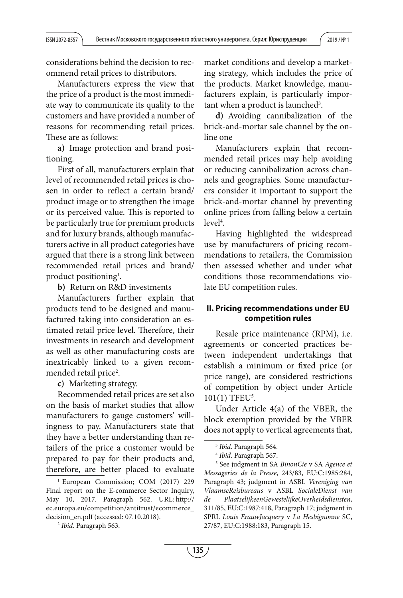considerations behind the decision to recommend retail prices to distributors.

Manufacturers express the view that the price of a product is the most immediate way to communicate its quality to the customers and have provided a number of reasons for recommending retail prices. These are as follows:

**a)** Image protection and brand positioning.

First of all, manufacturers explain that level of recommended retail prices is chosen in order to reflect a certain brand/ product image or to strengthen the image or its perceived value. This is reported to be particularly true for premium products and for luxury brands, although manufacturers active in all product categories have argued that there is a strong link between recommended retail prices and brand/ product positioning<sup>1</sup>.

**b)** Return on R&D investments

Manufacturers further explain that products tend to be designed and manufactured taking into consideration an estimated retail price level. Therefore, their investments in research and development as well as other manufacturing costs are inextricably linked to a given recommended retail price<sup>2</sup>.

**c)** Marketing strategy.

Recommended retail prices are set also on the basis of market studies that allow manufacturers to gauge customers' willingness to pay. Manufacturers state that they have a better understanding than retailers of the price a customer would be prepared to pay for their products and, therefore, are better placed to evaluate market conditions and develop a marketing strategy, which includes the price of the products. Market knowledge, manufacturers explain, is particularly important when a product is launched<sup>3</sup>.

**d)** Avoiding cannibalization of the brick-and-mortar sale channel by the online one

Manufacturers explain that recommended retail prices may help avoiding or reducing cannibalization across channels and geographies. Some manufacturers consider it important to support the brick-and-mortar channel by preventing online prices from falling below a certain level<sup>4</sup>.

Having highlighted the widespread use by manufacturers of pricing recommendations to retailers, the Commission then assessed whether and under what conditions those recommendations violate EU competition rules.

## **II. Pricing recommendations under EU competition rules**

Resale price maintenance (RPM), i.e. agreements or concerted practices between independent undertakings that establish a minimum or fixed price (or price range), are considered restrictions of competition by object under Article 101(1) TFEU5 .

Under Article 4(a) of the VBER, the block exemption provided by the VBER does not apply to vertical agreements that,

<sup>&</sup>lt;sup>1</sup> European Commission; COM (2017) 229 Final report on the E-commerce Sector Inquiry, May 10, 2017. Paragraph 562. URL: http:// ec.europa.eu/competition/antitrust/ecommerce\_ decision\_en.pdf (accessed: 07.10.2018).

<sup>2</sup> Ibid. Paragraph 563.

<sup>&</sup>lt;sup>3</sup> Ibid. Paragraph 564.

<sup>4</sup> Ibid. Paragraph 567.

<sup>5</sup> See judgment in SA BinonCie v SA Agence et Messageries de la Presse, 243/83, EU:C:1985:284, Paragraph 43; judgment in ASBL Vereniging van VlaamseReisbureaus v ASBL SocialeDienst van de PlaatselijkeenGewestelijkeOverheidsdiensten, 311/85, EU:C:1987:418, Paragraph 17; judgment in SPRL Louis ErauwJacquery v La Hesbignonne SC, 27/87, EU:C:1988:183, Paragraph 15.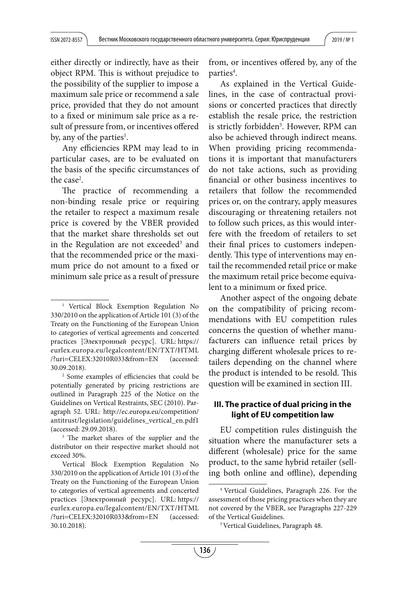either directly or indirectly, have as their object RPM. This is without prejudice to the possibility of the supplier to impose a maximum sale price or recommend a sale price, provided that they do not amount to a fixed or minimum sale price as a result of pressure from, or incentives offered by, any of the parties<sup>1</sup>.

Any efficiencies RPM may lead to in particular cases, are to be evaluated on the basis of the specific circumstances of the case<sup>2</sup>.

The practice of recommending a non-binding resale price or requiring the retailer to respect a maximum resale price is covered by the VBER provided that the market share thresholds set out in the Regulation are not exceeded<sup>3</sup> and that the recommended price or the maximum price do not amount to a fixed or minimum sale price as a result of pressure

from, or incentives offered by, any of the parties<sup>4</sup>.

As explained in the Vertical Guidelines, in the case of contractual provisions or concerted practices that directly establish the resale price, the restriction is strictly forbidden<sup>5</sup>. However, RPM can also be achieved through indirect means. When providing pricing recommendations it is important that manufacturers do not take actions, such as providing financial or other business incentives to retailers that follow the recommended prices or, on the contrary, apply measures discouraging or threatening retailers not to follow such prices, as this would interfere with the freedom of retailers to set their final prices to customers independently. This type of interventions may entail the recommended retail price or make the maximum retail price become equivalent to a minimum or fixed price.

Another aspect of the ongoing debate on the compatibility of pricing recommendations with EU competition rules concerns the question of whether manufacturers can influence retail prices by charging different wholesale prices to retailers depending on the channel where the product is intended to be resold. This question will be examined in section III.

## **III. The practice of dual pricing in the light of EU competition law**

EU competition rules distinguish the situation where the manufacturer sets a different (wholesale) price for the same product, to the same hybrid retailer (selling both online and offline), depending

<sup>1</sup> Vertical Block Exemption Regulation No 330/2010 on the application of Article 101 (3) of the Treaty on the Functioning of the European Union to categories of vertical agreements and concerted practices [Электронный ресурс]. URL: https:// eurlex.europa.eu/legalcontent/EN/TXT/HTML /?uri=CELEX:32010R033&from=EN (accessed: 30.09.2018).

<sup>&</sup>lt;sup>2</sup> Some examples of efficiencies that could be potentially generated by pricing restrictions are outlined in Paragraph 225 of the Notice on the Guidelines on Vertical Restraints, SEC (2010). Paragraph 52. URL: http://ec.europa.eu/competition/ antitrust/legislation/guidelines\_vertical\_en.pdf1 (accessed: 29.09.2018).

<sup>&</sup>lt;sup>3</sup> The market shares of the supplier and the distributor on their respective market should not exceed 30%.

Vertical Block Exemption Regulation No 330/2010 on the application of Article 101 (3) of the Treaty on the Functioning of the European Union to categories of vertical agreements and concerted practices [Электронный ресурс]. URL: https:// eurlex.europa.eu/legalcontent/EN/TXT/HTML /?uri=CELEX:32010R033&from=EN (accessed: 30.10.2018).

<sup>4</sup> Vertical Guidelines, Paragraph 226. For the assessment of those pricing practices when they are not covered by the VBER, see Paragraphs 227-229 of the Vertical Guidelines. 5 Vertical Guidelines, Paragraph 48.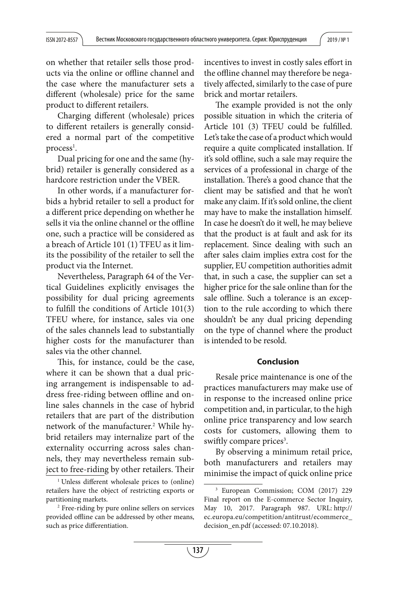on whether that retailer sells those products via the online or offline channel and the case where the manufacturer sets a different (wholesale) price for the same product to different retailers.

Charging different (wholesale) prices to different retailers is generally considered a normal part of the competitive  $\mathop{process}\nolimits^{\mathop{\text{\rm l}}\nolimits}.$ 

Dual pricing for one and the same (hybrid) retailer is generally considered as a hardcore restriction under the VBER.

In other words, if a manufacturer forbids a hybrid retailer to sell a product for a different price depending on whether he sells it via the online channel or the offline one, such a practice will be considered as a breach of Article 101 (1) TFEU as it limits the possibility of the retailer to sell the product via the Internet.

Nevertheless, Paragraph 64 of the Vertical Guidelines explicitly envisages the possibility for dual pricing agreements to fulfill the conditions of Article  $101(3)$ TFEU where, for instance, sales via one of the sales channels lead to substantially higher costs for the manufacturer than sales via the other channel.

This, for instance, could be the case, where it can be shown that a dual pricing arrangement is indispensable to address free-riding between offline and online sales channels in the case of hybrid retailers that are part of the distribution network of the manufacturer.<sup>2</sup> While hybrid retailers may internalize part of the externality occurring across sales channels, they may nevertheless remain subject to free-riding by other retailers. Their incentives to invest in costly sales effort in the offline channel may therefore be negatively affected, similarly to the case of pure brick and mortar retailers.

The example provided is not the only possible situation in which the criteria of Article 101 (3) TFEU could be fulfilled. Let's take the case of a product which would require a quite complicated installation. If it's sold offline, such a sale may require the services of a professional in charge of the installation. There's a good chance that the client may be satisfied and that he won't make any claim. If it's sold online, the client may have to make the installation himself. In case he doesn't do it well, he may believe that the product is at fault and ask for its replacement. Since dealing with such an after sales claim implies extra cost for the supplier, EU competition authorities admit that, in such a case, the supplier can set a higher price for the sale online than for the sale offline. Such a tolerance is an exception to the rule according to which there shouldn't be any dual pricing depending on the type of channel where the product is intended to be resold.

### **Conclusion**

Resale price maintenance is one of the practices manufacturers may make use of in response to the increased online price competition and, in particular, to the high online price transparency and low search costs for customers, allowing them to swiftly compare prices<sup>3</sup>.

By observing a minimum retail price, both manufacturers and retailers may minimise the impact of quick online price

<sup>&</sup>lt;sup>1</sup> Unless different wholesale prices to (online) retailers have the object of restricting exports or partitioning markets.

<sup>2</sup> Free-riding by pure online sellers on services provided offline can be addressed by other means, such as price differentiation.

<sup>3</sup> European Commission; COM (2017) 229 Final report on the E-commerce Sector Inquiry, May 10, 2017. Paragraph 987. URL: http:// ec.europa.eu/competition/antitrust/ecommerce\_ decision\_en.pdf (accessed: 07.10.2018).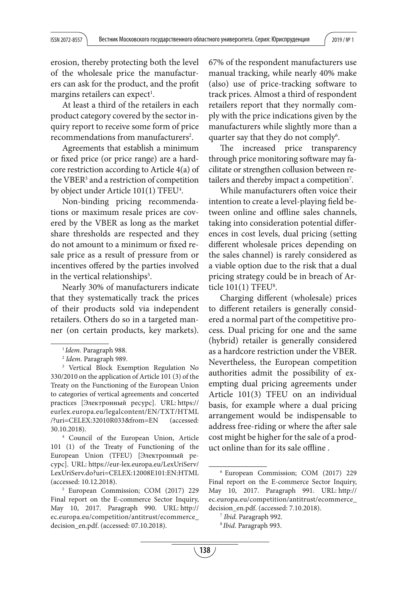erosion, thereby protecting both the level of the wholesale price the manufacturers can ask for the product, and the profit margins retailers can expect $^{\rm l}$ .

At least a third of the retailers in each product category covered by the sector inquiry report to receive some form of price recommendations from manufacturers<sup>2</sup>.

Agreements that establish a minimum or fixed price (or price range) are a hardcore restriction according to Article 4(a) of the VBER3 and a restriction of competition by object under Article 101(1) TFEU<sup>4</sup>.

Non-binding pricing recommendations or maximum resale prices are covered by the VBER as long as the market share thresholds are respected and they do not amount to a minimum or fixed resale price as a result of pressure from or incentives offered by the parties involved in the vertical relationships $^5$ .

Nearly 30% of manufacturers indicate that they systematically track the prices of their products sold via independent retailers. Others do so in a targeted manner (on certain products, key markets).

4 Council of the European Union, Article 101 (1) of the Treaty of Functioning of the European Union (TFEU) [Электронный ресурс]. URL: https://eur-lex.europa.eu/LexUriServ/ LexUriServ.do?uri=CELEX:12008E101:EN:HTML (accessed: 10.12.2018).

67% of the respondent manufacturers use manual tracking, while nearly 40% make (also) use of price-tracking software to track prices. Almost a third of respondent retailers report that they normally comply with the price indications given by the manufacturers while slightly more than a quarter say that they do not comply<sup>6</sup>.

The increased price transparency through price monitoring software may facilitate or strengthen collusion between retailers and thereby impact a competition<sup>7</sup>.

While manufacturers often voice their intention to create a level-playing field between online and offline sales channels, taking into consideration potential differences in cost levels, dual pricing (setting different wholesale prices depending on the sales channel) is rarely considered as a viable option due to the risk that a dual pricing strategy could be in breach of Article  $101(1)$  TFEU<sup>8</sup>.

Charging different (wholesale) prices to different retailers is generally considered a normal part of the competitive process. Dual pricing for one and the same (hybrid) retailer is generally considered as a hardcore restriction under the VBER. Nevertheless, the European competition authorities admit the possibility of exempting dual pricing agreements under Article 101(3) TFEU on an individual basis, for example where a dual pricing arrangement would be indispensable to address free-riding or where the after sale cost might be higher for the sale of a product online than for its sale offline.

 $1$ Idem. Paragraph 988.<br> $2$ Idem. Paragraph 989.

<sup>&</sup>lt;sup>3</sup> Vertical Block Exemption Regulation No 330/2010 on the application of Article 101 (3) of the Treaty on the Functioning of the European Union to categories of vertical agreements and concerted practices [Электронный ресурс]. URL: https:// eurlex.europa.eu/legalcontent/EN/TXT/HTML /?uri=CELEX:32010R033&from=EN (accessed: 30.10.2018).

<sup>5</sup> European Commission; COM (2017) 229 Final report on the E-commerce Sector Inquiry, May 10, 2017. Paragraph 990. URL: http:// ec.europa.eu/competition/antitrust/ecommerce\_ decision\_en.pdf. (accessed: 07.10.2018).

<sup>6</sup> European Commission; COM (2017) 229 Final report on the E-commerce Sector Inquiry, May 10, 2017. Paragraph 991. URL: http:// ec.europa.eu/competition/antitrust/ecommerce\_ decision\_en.pdf. (accessed: 7.10.2018).

<sup>7</sup> Ibid. Paragraph 992.

<sup>&</sup>lt;sup>8</sup> Ibid. Paragraph 993.